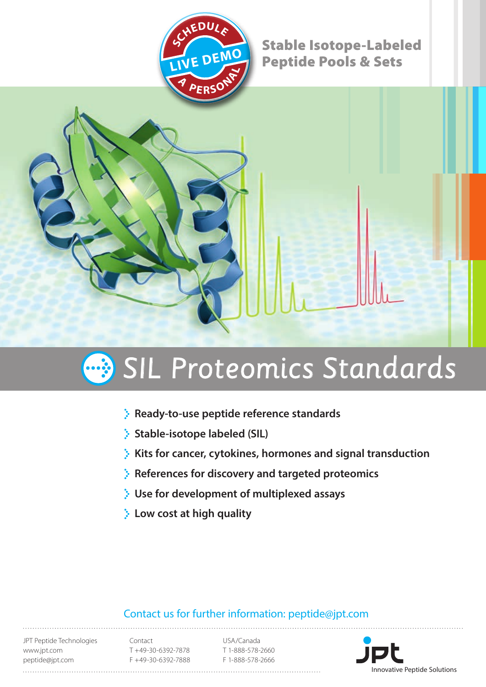

Stable Isotope-Labeled Peptide Pools & Sets



# SIL Proteomics Standards

- **Ready-to-use peptide reference standards**
- **Stable-isotope labeled (SIL)**
- **Kits for cancer, cytokines, hormones and signal transduction**
- **References for discovery and targeted proteomics**
- **Use for development of multiplexed assays**
- **Low cost at high quality**

# Contact us for further information: peptide@jpt.com

JPT Peptide Technologies www.jpt.com peptide@jpt.com

Contact T +49-30-6392-7878 F +49-30-6392-7888

USA/Canada T 1-888-578-2660 F 1-888-578-2666